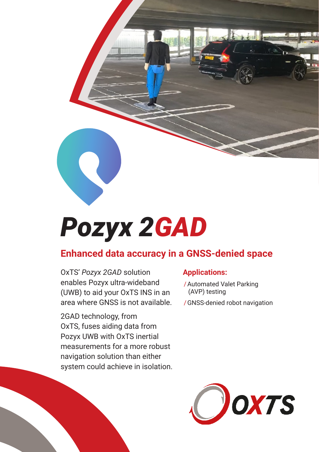

# *Pozyx 2GAD*

## **Enhanced data accuracy in a GNSS-denied space**

OxTS' *Pozyx 2GAD* solution enables Pozyx ultra-wideband (UWB) to aid your OxTS INS in an area where GNSS is not available.

2GAD technology, from OxTS, fuses aiding data from Pozyx UWB with OxTS inertial measurements for a more robust navigation solution than either system could achieve in isolation.

## **Applications:**

- /Automated Valet Parking (AVP) testing
- /GNSS-denied robot navigation

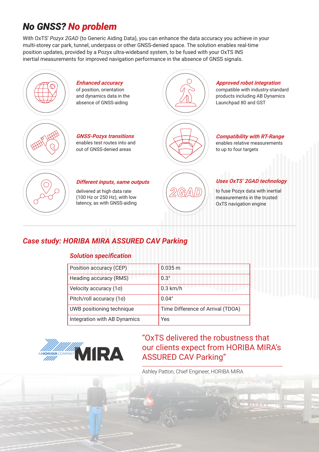# *No GNSS? No problem*

With OxTS' *Pozyx 2GAD* (to Generic Aiding Data), you can enhance the data accuracy you achieve in your multi-storey car park, tunnel, underpass or other GNSS-denied space. The solution enables real-time position updates, provided by a Pozyx ultra-wideband system, to be fused with your OxTS INS inertial measurements for improved navigation performance in the absence of GNSS signals.



## *Case study: HORIBA MIRA ASSURED CAV Parking*

#### *Solution specification*

| Position accuracy (CEP)      | 0.035 m                           |
|------------------------------|-----------------------------------|
| Heading accuracy (RMS)       | $0.3^\circ$                       |
| Velocity accuracy (1σ)       | $0.3$ km/h                        |
| Pitch/roll accuracy (1σ)     | $0.04^{\circ}$                    |
| UWB positioning technique    | Time Difference of Arrival (TDOA) |
| Integration with AB Dynamics | Yes                               |



## "OxTS delivered the robustness that our clients expect from HORIBA MIRA's ASSURED CAV Parking"

Ashley Patton, Chief Engineer, HORIBA MIRA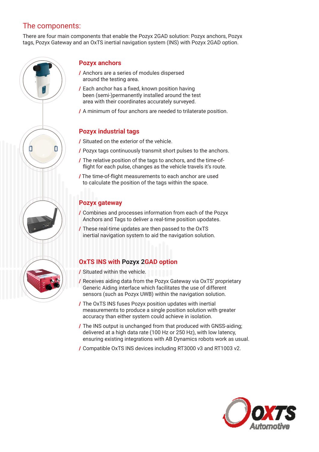## The components:

There are four main components that enable the Pozyx 2GAD solution: Pozyx anchors, Pozyx tags, Pozyx Gateway and an OxTS inertial navigation system (INS) with Pozyx 2GAD option.



## **Pozyx anchors**

- / Anchors are a series of modules dispersed around the testing area.
- / Each anchor has a fixed, known position having been (semi-)permanently installed around the test area with their coordinates accurately surveyed.
- / A minimum of four anchors are needed to trilaterate position.

#### **Pozyx industrial tags**

- / Situated on the exterior of the vehicle.
- / Pozyx tags continuously transmit short pulses to the anchors.
- / The relative position of the tags to anchors, and the time-offlight for each pulse, changes as the vehicle travels it's route.
- / The time-of-flight measurements to each anchor are used to calculate the position of the tags within the space.

## **Pozyx gateway**

- / Combines and processes information from each of the Pozyx Anchors and Tags to deliver a real-time position upodates.
- / These real-time updates are then passed to the OxTS inertial navigation system to aid the navigation solution.

## **OxTS INS with Pozyx 2GAD option**

- / Situated within the vehicle.
- / Receives aiding data from the Pozyx Gateway via OxTS' proprietary Generic Aiding interface which facilitates the use of different sensors (such as Pozyx UWB) within the navigation solution.
- / The OxTS INS fuses Pozyx position updates with inertial measurements to produce a single position solution with greater accuracy than either system could achieve in isolation.
- / The INS output is unchanged from that produced with GNSS-aiding; delivered at a high data rate (100 Hz or 250 Hz), with low latency, ensuring existing integrations with AB Dynamics robots work as usual.
- / Compatible OxTS INS devices including RT3000 v3 and RT1003 v2.